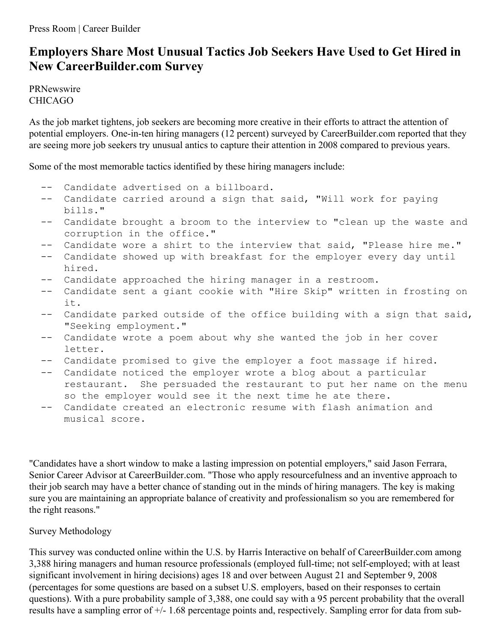## **Employers Share Most Unusual Tactics Job Seekers Have Used to Get Hired in New CareerBuilder.com Survey**

PRNewswire CHICAGO

As the job market tightens, job seekers are becoming more creative in their efforts to attract the attention of potential employers. One-in-ten hiring managers (12 percent) surveyed by CareerBuilder.com reported that they are seeing more job seekers try unusual antics to capture their attention in 2008 compared to previous years.

Some of the most memorable tactics identified by these hiring managers include:

- -- Candidate advertised on a billboard.
- -- Candidate carried around a sign that said, "Will work for paying bills."
- -- Candidate brought a broom to the interview to "clean up the waste and corruption in the office."
- -- Candidate wore a shirt to the interview that said, "Please hire me."
- -- Candidate showed up with breakfast for the employer every day until hired.
- -- Candidate approached the hiring manager in a restroom.
- -- Candidate sent a giant cookie with "Hire Skip" written in frosting on it.
- -- Candidate parked outside of the office building with a sign that said, "Seeking employment."
- -- Candidate wrote a poem about why she wanted the job in her cover letter.
- -- Candidate promised to give the employer a foot massage if hired.
- -- Candidate noticed the employer wrote a blog about a particular restaurant. She persuaded the restaurant to put her name on the menu so the employer would see it the next time he ate there.
- -- Candidate created an electronic resume with flash animation and musical score.

"Candidates have a short window to make a lasting impression on potential employers," said Jason Ferrara, Senior Career Advisor at CareerBuilder.com. "Those who apply resourcefulness and an inventive approach to their job search may have a better chance of standing out in the minds of hiring managers. The key is making sure you are maintaining an appropriate balance of creativity and professionalism so you are remembered for the right reasons."

## Survey Methodology

This survey was conducted online within the U.S. by Harris Interactive on behalf of CareerBuilder.com among 3,388 hiring managers and human resource professionals (employed full-time; not self-employed; with at least significant involvement in hiring decisions) ages 18 and over between August 21 and September 9, 2008 (percentages for some questions are based on a subset U.S. employers, based on their responses to certain questions). With a pure probability sample of 3,388, one could say with a 95 percent probability that the overall results have a sampling error of +/- 1.68 percentage points and, respectively. Sampling error for data from sub